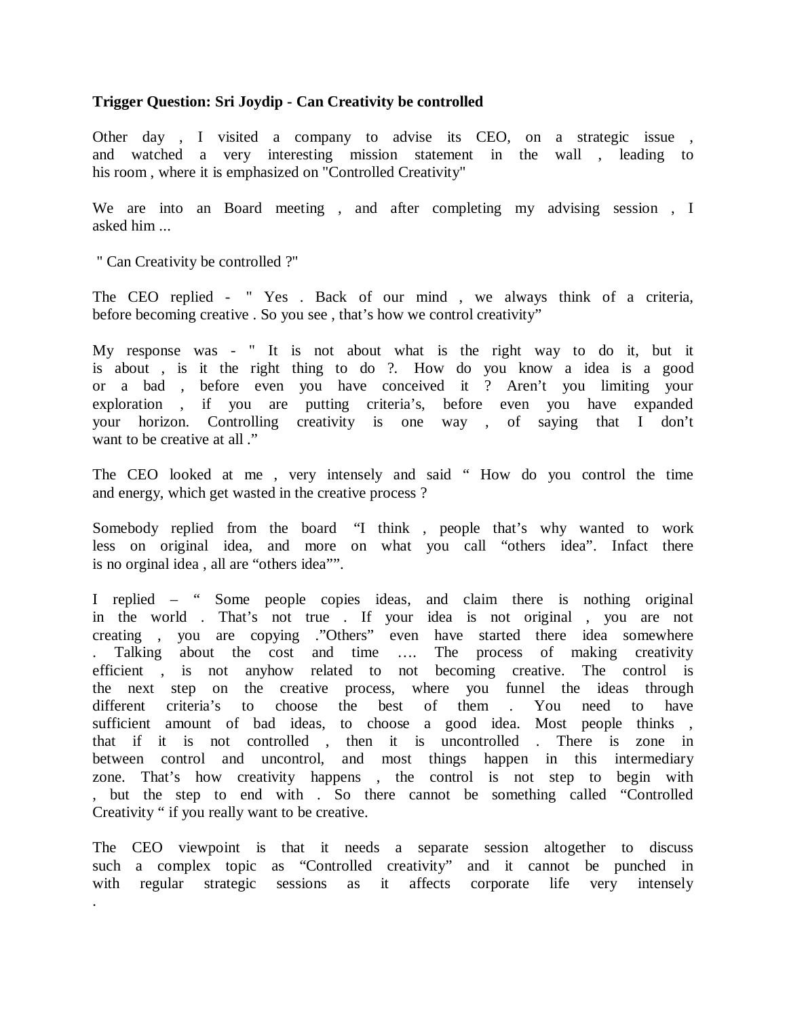# **Trigger Question: Sri Joydip - Can Creativity be controlled**

Other day , I visited a company to advise its CEO, on a strategic issue , and watched a very interesting mission statement in the wall , leading to his room , where it is emphasized on "Controlled Creativity"

We are into an Board meeting , and after completing my advising session , I asked him ...

" Can Creativity be controlled ?"

The CEO replied - " Yes . Back of our mind , we always think of a criteria, before becoming creative . So you see , that's how we control creativity"

My response was - " It is not about what is the right way to do it, but it is about , is it the right thing to do ?. How do you know a idea is a good or a bad , before even you have conceived it ? Aren't you limiting your exploration , if you are putting criteria's, before even you have expanded your horizon. Controlling creativity is one way , of saying that I don't want to be creative at all ."

The CEO looked at me , very intensely and said " How do you control the time and energy, which get wasted in the creative process ?

Somebody replied from the board "I think , people that's why wanted to work less on original idea, and more on what you call "others idea". Infact there is no orginal idea , all are "others idea"".

I replied – " Some people copies ideas, and claim there is nothing original in the world . That's not true . If your idea is not original , you are not creating , you are copying ."Others" even have started there idea somewhere . Talking about the cost and time …. The process of making creativity efficient , is not anyhow related to not becoming creative. The control is the next step on the creative process, where you funnel the ideas through different criteria's to choose the best of them . You need to have sufficient amount of bad ideas, to choose a good idea. Most people thinks , that if it is not controlled , then it is uncontrolled . There is zone in between control and uncontrol, and most things happen in this intermediary zone. That's how creativity happens , the control is not step to begin with , but the step to end with . So there cannot be something called "Controlled Creativity " if you really want to be creative.

The CEO viewpoint is that it needs a separate session altogether to discuss such a complex topic as "Controlled creativity" and it cannot be punched in with regular strategic sessions as it affects corporate life very intensely .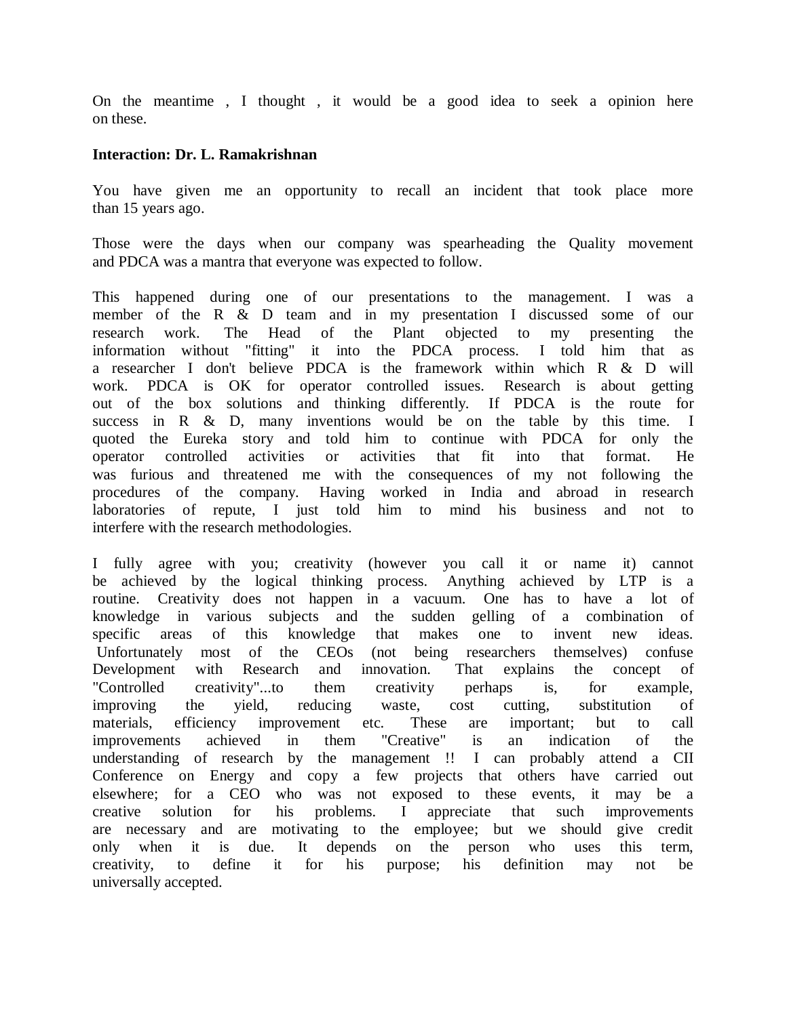On the meantime , I thought , it would be a good idea to seek a opinion here on these.

### **Interaction: Dr. L. Ramakrishnan**

You have given me an opportunity to recall an incident that took place more than 15 years ago.

Those were the days when our company was spearheading the Quality movement and PDCA was a mantra that everyone was expected to follow.

This happened during one of our presentations to the management. I was a member of the R & D team and in my presentation I discussed some of our research work. The Head of the Plant objected to my presenting the information without "fitting" it into the PDCA process. I told him that as a researcher I don't believe PDCA is the framework within which R & D will work. PDCA is OK for operator controlled issues. Research is about getting out of the box solutions and thinking differently. If PDCA is the route for success in R & D, many inventions would be on the table by this time. I quoted the Eureka story and told him to continue with PDCA for only the operator controlled activities or activities that fit into that format. He was furious and threatened me with the consequences of my not following the procedures of the company. Having worked in India and abroad in research laboratories of repute, I just told him to mind his business and not to interfere with the research methodologies.

I fully agree with you; creativity (however you call it or name it) cannot be achieved by the logical thinking process. Anything achieved by LTP is a routine. Creativity does not happen in a vacuum. One has to have a lot of knowledge in various subjects and the sudden gelling of a combination of specific areas of this knowledge that makes one to invent new ideas. Unfortunately most of the CEOs (not being researchers themselves) confuse Development with Research and innovation. That explains the concept of "Controlled creativity"...to them creativity perhaps is, for example, improving the yield, reducing waste, cost cutting, substitution of materials, efficiency improvement etc. These are important; but to call improvements achieved in them "Creative" is an indication of the understanding of research by the management !! I can probably attend a CII Conference on Energy and copy a few projects that others have carried out elsewhere; for a CEO who was not exposed to these events, it may be a creative solution for his problems. I appreciate that such improvements are necessary and are motivating to the employee; but we should give credit only when it is due. It depends on the person who uses this term, creativity, to define it for his purpose; his definition may not be universally accepted.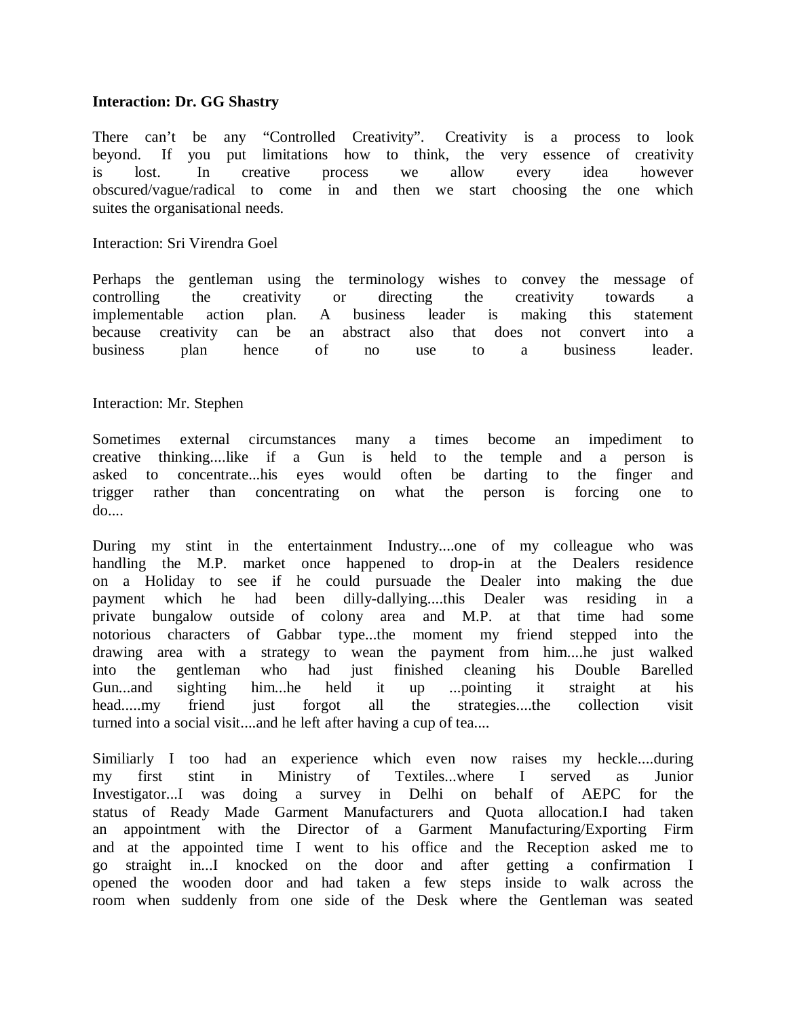### **Interaction: Dr. GG Shastry**

There can't be any "Controlled Creativity". Creativity is a process to look beyond. If you put limitations how to think, the very essence of creativity is lost. In creative process we allow every idea however obscured/vague/radical to come in and then we start choosing the one which suites the organisational needs.

#### Interaction: Sri Virendra Goel

Perhaps the gentleman using the terminology wishes to convey the message of controlling the creativity or directing the creativity towards a implementable action plan. A business leader is making this statement because creativity can be an abstract also that does not convert into a business plan hence of no use to a business leader.

#### Interaction: Mr. Stephen

Sometimes external circumstances many a times become an impediment to creative thinking....like if a Gun is held to the temple and a person is asked to concentrate...his eyes would often be darting to the finger and trigger rather than concentrating on what the person is forcing one to do....

During my stint in the entertainment Industry....one of my colleague who was handling the M.P. market once happened to drop-in at the Dealers residence on a Holiday to see if he could pursuade the Dealer into making the due payment which he had been dilly-dallying....this Dealer was residing in a private bungalow outside of colony area and M.P. at that time had some notorious characters of Gabbar type...the moment my friend stepped into the drawing area with a strategy to wean the payment from him....he just walked into the gentleman who had just finished cleaning his Double Barelled Gun...and sighting him...he held it up ...pointing it straight at his head.....my friend just forgot all the strategies....the collection visit turned into a social visit....and he left after having a cup of tea....

Similiarly I too had an experience which even now raises my heckle....during my first stint in Ministry of Textiles...where I served as Junior Investigator...I was doing a survey in Delhi on behalf of AEPC for the status of Ready Made Garment Manufacturers and Quota allocation.I had taken an appointment with the Director of a Garment Manufacturing/Exporting Firm and at the appointed time I went to his office and the Reception asked me to go straight in...I knocked on the door and after getting a confirmation I opened the wooden door and had taken a few steps inside to walk across the room when suddenly from one side of the Desk where the Gentleman was seated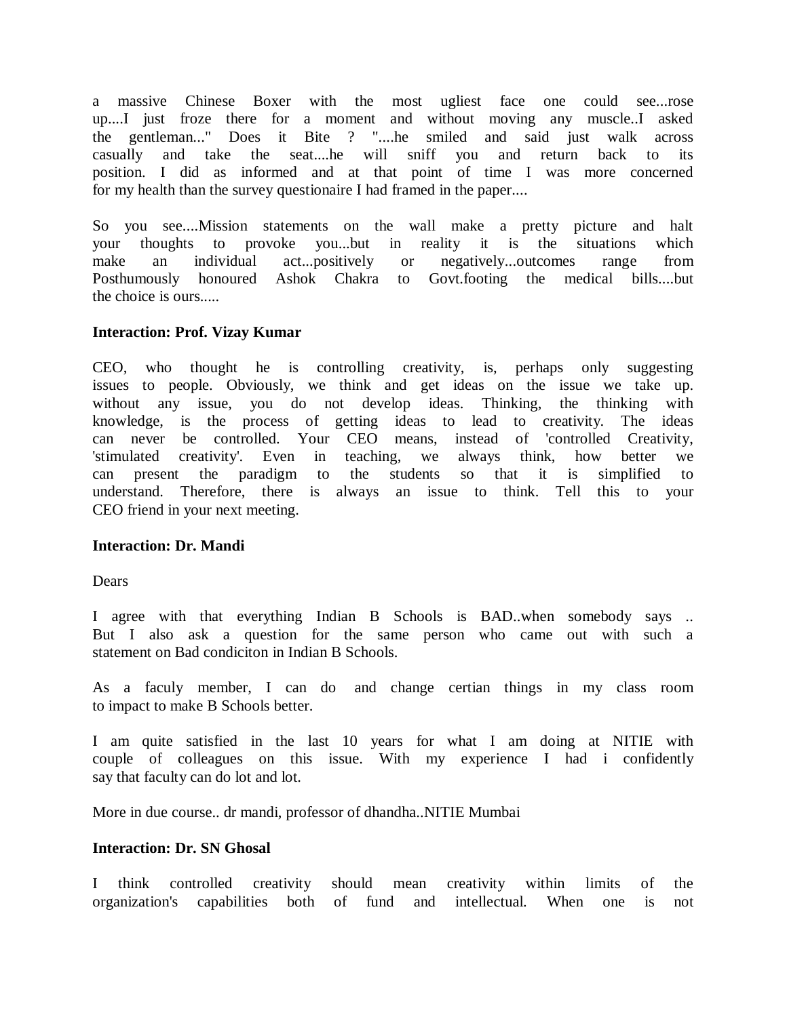a massive Chinese Boxer with the most ugliest face one could see...rose up....I just froze there for a moment and without moving any muscle..I asked the gentleman..." Does it Bite ? "....he smiled and said just walk across casually and take the seat....he will sniff you and return back to its position. I did as informed and at that point of time I was more concerned for my health than the survey questionaire I had framed in the paper....

So you see....Mission statements on the wall make a pretty picture and halt your thoughts to provoke you...but in reality it is the situations which make an individual act...positively or negatively...outcomes range from Posthumously honoured Ashok Chakra to Govt.footing the medical bills....but the choice is ours.....

# **Interaction: Prof. Vizay Kumar**

CEO, who thought he is controlling creativity, is, perhaps only suggesting issues to people. Obviously, we think and get ideas on the issue we take up. without any issue, you do not develop ideas. Thinking, the thinking with knowledge, is the process of getting ideas to lead to creativity. The ideas can never be controlled. Your CEO means, instead of 'controlled Creativity, 'stimulated creativity'. Even in teaching, we always think, how better we can present the paradigm to the students so that it is simplified to understand. Therefore, there is always an issue to think. Tell this to your CEO friend in your next meeting.

## **Interaction: Dr. Mandi**

**Dears** 

I agree with that everything Indian B Schools is BAD..when somebody says .. But I also ask a question for the same person who came out with such a statement on Bad condiciton in Indian B Schools.

As a faculy member, I can do and change certian things in my class room to impact to make B Schools better.

I am quite satisfied in the last 10 years for what I am doing at NITIE with couple of colleagues on this issue. With my experience I had i confidently say that faculty can do lot and lot.

More in due course.. dr mandi, professor of dhandha..NITIE Mumbai

#### **Interaction: Dr. SN Ghosal**

I think controlled creativity should mean creativity within limits of the organization's capabilities both of fund and intellectual. When one is not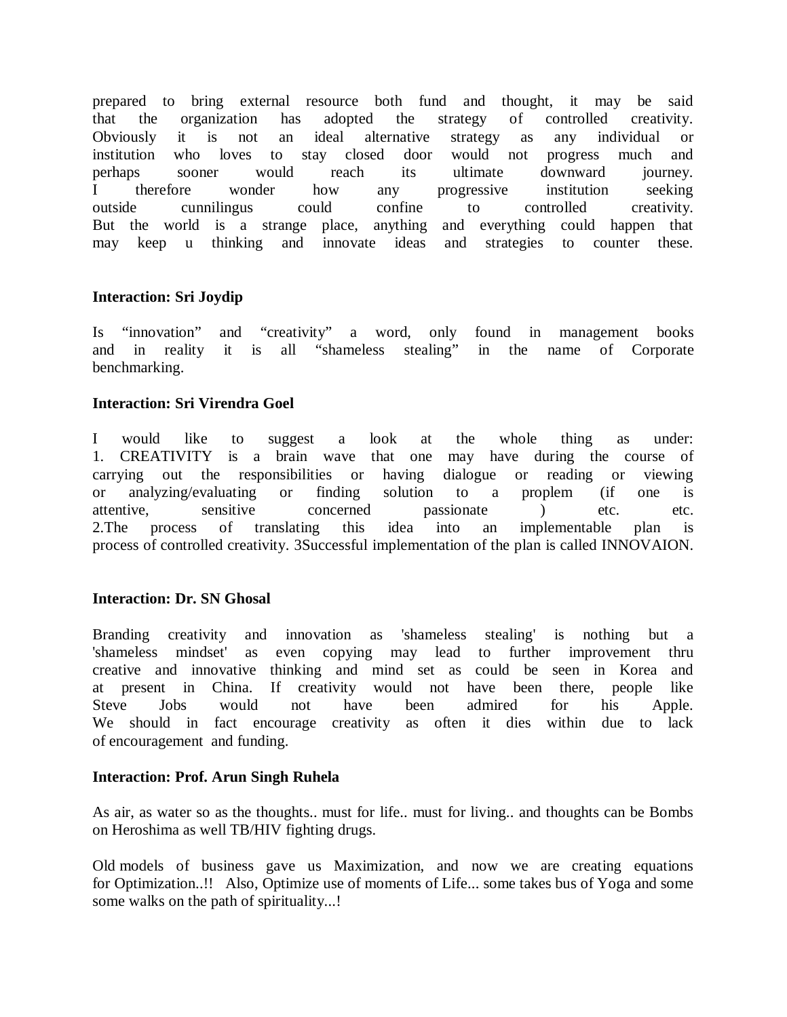prepared to bring external resource both fund and thought, it may be said that the organization has adopted the strategy of controlled creativity. Obviously it is not an ideal alternative strategy as any individual or institution who loves to stay closed door would not progress much and perhaps sooner would reach its ultimate downward journey. I therefore wonder how any progressive institution seeking outside cunnilingus could confine to controlled creativity. But the world is a strange place, anything and everything could happen that may keep u thinking and innovate ideas and strategies to counter these.

# **Interaction: Sri Joydip**

Is "innovation" and "creativity" a word, only found in management books and in reality it is all "shameless stealing" in the name of Corporate benchmarking.

# **Interaction: Sri Virendra Goel**

I would like to suggest a look at the whole thing as under: 1. CREATIVITY is a brain wave that one may have during the course of carrying out the responsibilities or having dialogue or reading or viewing or analyzing/evaluating or finding solution to a proplem (if one is attentive, sensitive concerned passionate ) etc. etc. 2.The process of translating this idea into an implementable plan is process of controlled creativity. 3Successful implementation of the plan is called INNOVAION.

# **Interaction: Dr. SN Ghosal**

Branding creativity and innovation as 'shameless stealing' is nothing but a 'shameless mindset' as even copying may lead to further improvement thru creative and innovative thinking and mind set as could be seen in Korea and at present in China. If creativity would not have been there, people like Steve Jobs would not have been admired for his Apple. We should in fact encourage creativity as often it dies within due to lack of encouragement and funding.

# **Interaction: Prof. Arun Singh Ruhela**

As air, as water so as the thoughts.. must for life.. must for living.. and thoughts can be Bombs on Heroshima as well TB/HIV fighting drugs.

Old models of business gave us Maximization, and now we are creating equations for Optimization..!! Also, Optimize use of moments of Life... some takes bus of Yoga and some some walks on the path of spirituality...!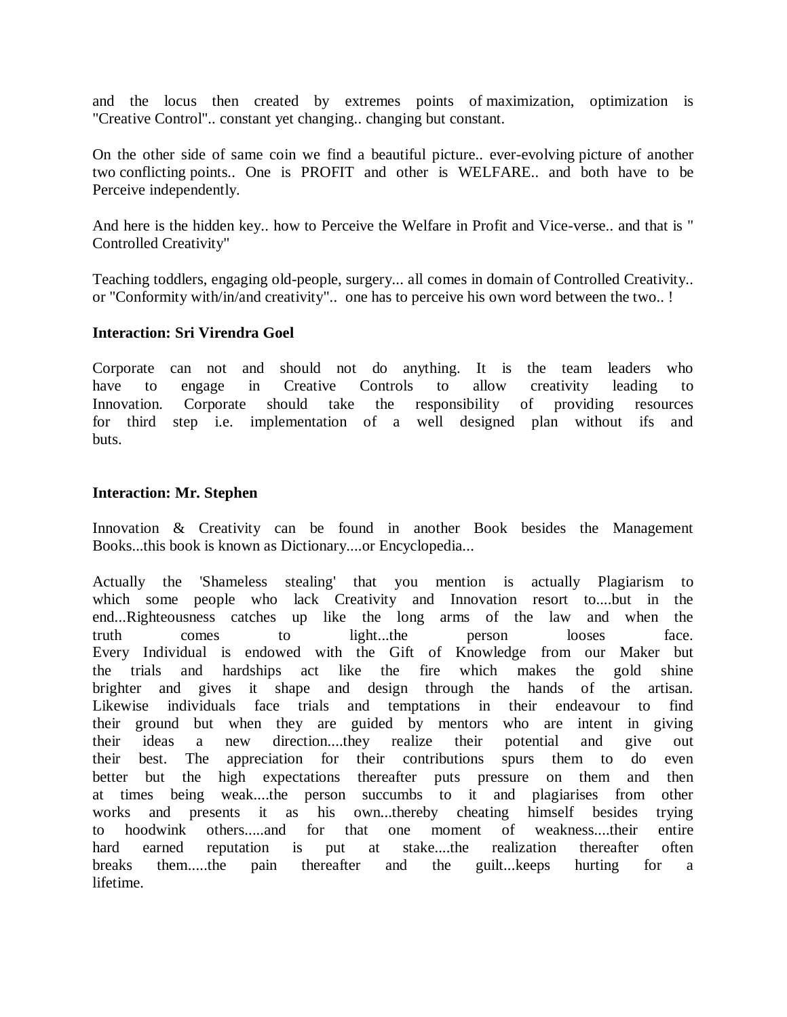and the locus then created by extremes points of maximization, optimization is "Creative Control".. constant yet changing.. changing but constant.

On the other side of same coin we find a beautiful picture.. ever-evolving picture of another two conflicting points.. One is PROFIT and other is WELFARE.. and both have to be Perceive independently.

And here is the hidden key.. how to Perceive the Welfare in Profit and Vice-verse.. and that is " Controlled Creativity"

Teaching toddlers, engaging old-people, surgery... all comes in domain of Controlled Creativity.. or "Conformity with/in/and creativity".. one has to perceive his own word between the two.. !

## **Interaction: Sri Virendra Goel**

Corporate can not and should not do anything. It is the team leaders who have to engage in Creative Controls to allow creativity leading to Innovation. Corporate should take the responsibility of providing resources for third step i.e. implementation of a well designed plan without ifs and buts.

#### **Interaction: Mr. Stephen**

Innovation & Creativity can be found in another Book besides the Management Books...this book is known as Dictionary....or Encyclopedia...

Actually the 'Shameless stealing' that you mention is actually Plagiarism to which some people who lack Creativity and Innovation resort to....but in the end...Righteousness catches up like the long arms of the law and when the truth comes to light...the person looses face. Every Individual is endowed with the Gift of Knowledge from our Maker but the trials and hardships act like the fire which makes the gold shine brighter and gives it shape and design through the hands of the artisan. Likewise individuals face trials and temptations in their endeavour to find their ground but when they are guided by mentors who are intent in giving their ideas a new direction....they realize their potential and give out their best. The appreciation for their contributions spurs them to do even better but the high expectations thereafter puts pressure on them and then at times being weak....the person succumbs to it and plagiarises from other works and presents it as his own...thereby cheating himself besides trying to hoodwink others.....and for that one moment of weakness....their entire hard earned reputation is put at stake....the realization thereafter often breaks them.....the pain thereafter and the guilt...keeps hurting for a lifetime.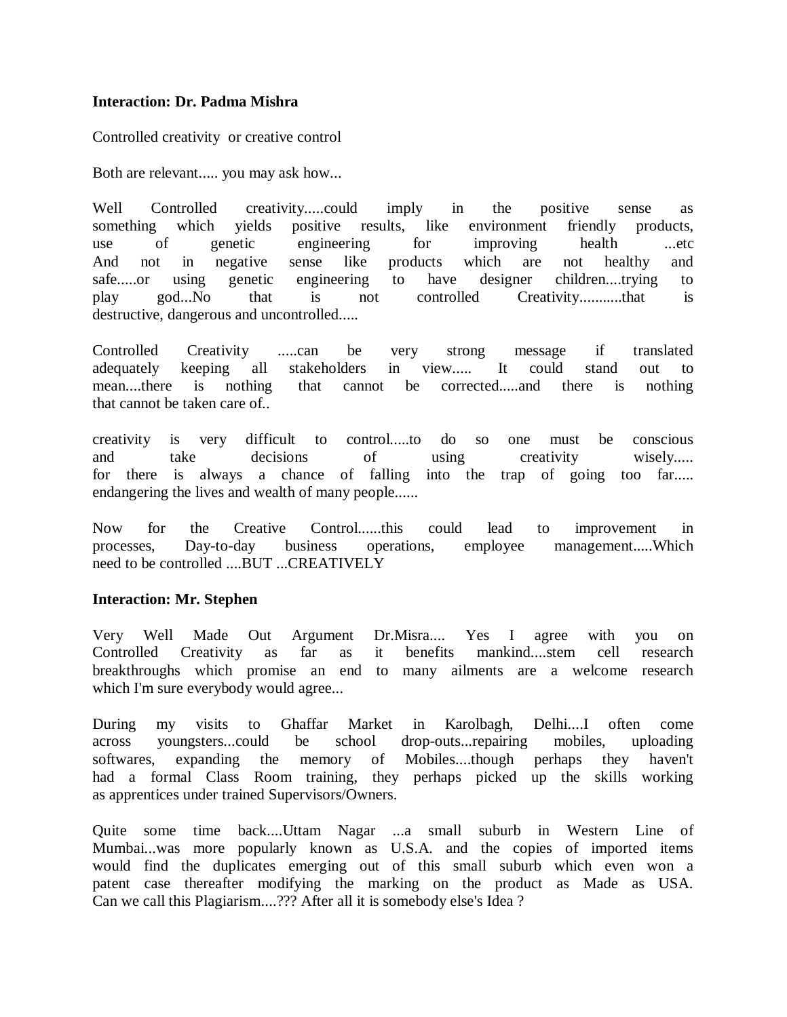## **Interaction: Dr. Padma Mishra**

Controlled creativity or creative control

Both are relevant..... you may ask how...

Well Controlled creativity.....could imply in the positive sense as something which yields positive results, like environment friendly products, use of genetic engineering for improving health ...etc And not in negative sense like products which are not healthy and safe.....or using genetic engineering to have designer children....trying to play god...No that is not controlled Creativity...........that is destructive, dangerous and uncontrolled.....

Controlled Creativity .....can be very strong message if translated adequately keeping all stakeholders in view..... It could stand out to mean....there is nothing that cannot be corrected.....and there is nothing that cannot be taken care of..

creativity is very difficult to control.....to do so one must be conscious and take decisions of using creativity wisely..... for there is always a chance of falling into the trap of going too far..... endangering the lives and wealth of many people......

Now for the Creative Control......this could lead to improvement in processes, Day-to-day business operations, employee management.....Which need to be controlled ....BUT ...CREATIVELY

## **Interaction: Mr. Stephen**

Very Well Made Out Argument Dr.Misra.... Yes I agree with you on Controlled Creativity as far as it benefits mankind....stem cell research breakthroughs which promise an end to many ailments are a welcome research which I'm sure everybody would agree...

During my visits to Ghaffar Market in Karolbagh, Delhi....I often come across youngsters...could be school drop-outs...repairing mobiles, uploading softwares, expanding the memory of Mobiles....though perhaps they haven't had a formal Class Room training, they perhaps picked up the skills working as apprentices under trained Supervisors/Owners.

Quite some time back....Uttam Nagar ...a small suburb in Western Line of Mumbai...was more popularly known as U.S.A. and the copies of imported items would find the duplicates emerging out of this small suburb which even won a patent case thereafter modifying the marking on the product as Made as USA. Can we call this Plagiarism....??? After all it is somebody else's Idea ?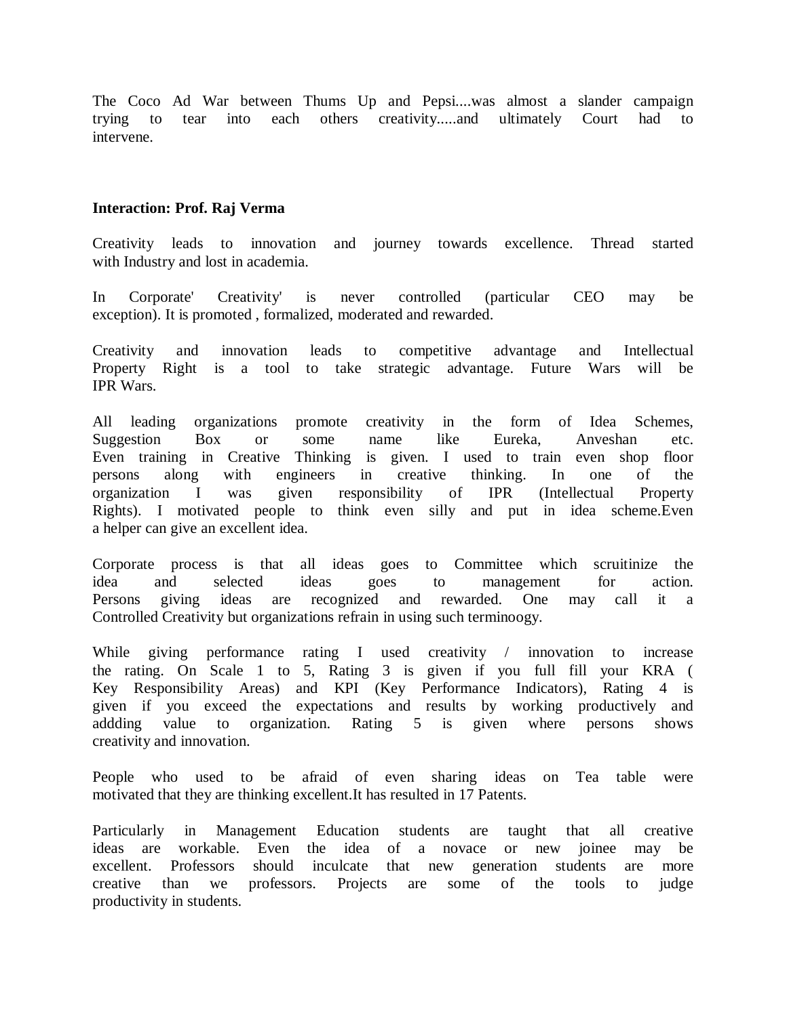The Coco Ad War between Thums Up and Pepsi....was almost a slander campaign trying to tear into each others creativity.....and ultimately Court had to intervene.

### **Interaction: Prof. Raj Verma**

Creativity leads to innovation and journey towards excellence. Thread started with Industry and lost in academia.

In Corporate' Creativity' is never controlled (particular CEO may be exception). It is promoted , formalized, moderated and rewarded.

Creativity and innovation leads to competitive advantage and Intellectual Property Right is a tool to take strategic advantage. Future Wars will be IPR Wars.

All leading organizations promote creativity in the form of Idea Schemes, Suggestion Box or some name like Eureka, Anveshan etc. Even training in Creative Thinking is given. I used to train even shop floor persons along with engineers in creative thinking. In one of the organization I was given responsibility of IPR (Intellectual Property Rights). I motivated people to think even silly and put in idea scheme.Even a helper can give an excellent idea.

Corporate process is that all ideas goes to Committee which scruitinize the idea and selected ideas goes to management for action. Persons giving ideas are recognized and rewarded. One may call it a Controlled Creativity but organizations refrain in using such terminoogy.

While giving performance rating I used creativity / innovation to increase the rating. On Scale 1 to 5, Rating 3 is given if you full fill your KRA ( Key Responsibility Areas) and KPI (Key Performance Indicators), Rating 4 is given if you exceed the expectations and results by working productively and addding value to organization. Rating 5 is given where persons shows creativity and innovation.

People who used to be afraid of even sharing ideas on Tea table were motivated that they are thinking excellent.It has resulted in 17 Patents.

Particularly in Management Education students are taught that all creative ideas are workable. Even the idea of a novace or new joinee may be excellent. Professors should inculcate that new generation students are more creative than we professors. Projects are some of the tools to judge productivity in students.